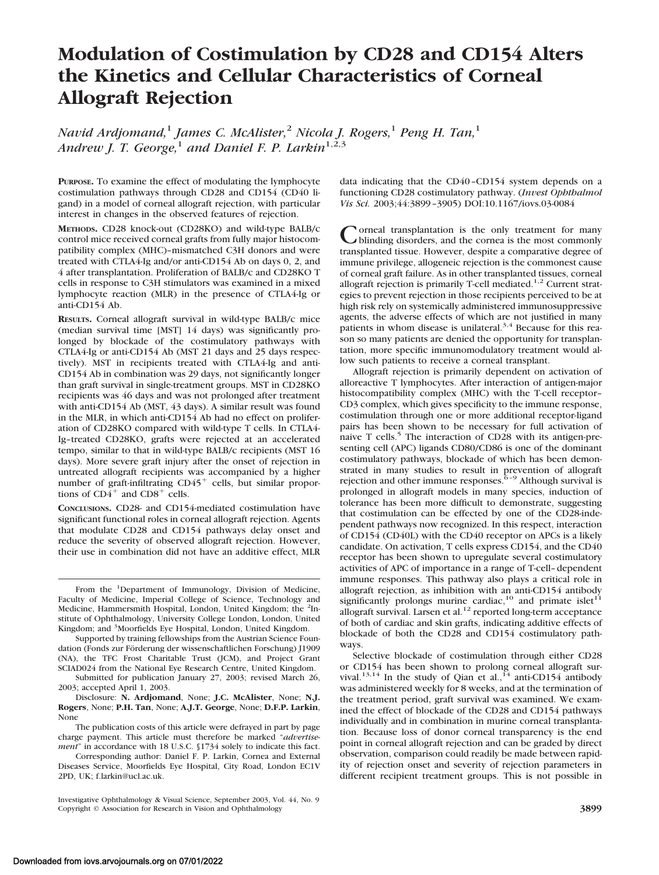# **Modulation of Costimulation by CD28 and CD154 Alters the Kinetics and Cellular Characteristics of Corneal Allograft Rejection**

*Navid Ardjomand,*<sup>1</sup> *James C. McAlister,*<sup>2</sup> *Nicola J. Rogers,*<sup>1</sup> *Peng H. Tan,*<sup>1</sup> *Andrew J. T. George,*<sup>1</sup> *and Daniel F. P. Larkin*1,2,3

**PURPOSE.** To examine the effect of modulating the lymphocyte costimulation pathways through CD28 and CD154 (CD40 ligand) in a model of corneal allograft rejection, with particular interest in changes in the observed features of rejection.

**METHODS.** CD28 knock-out (CD28KO) and wild-type BALB/c control mice received corneal grafts from fully major histocompatibility complex (MHC)–mismatched C3H donors and were treated with CTLA4-Ig and/or anti-CD154 Ab on days 0, 2, and 4 after transplantation. Proliferation of BALB/c and CD28KO T cells in response to C3H stimulators was examined in a mixed lymphocyte reaction (MLR) in the presence of CTLA4-Ig or anti-CD154 Ab.

**RESULTS.** Corneal allograft survival in wild-type BALB/c mice (median survival time [MST] 14 days) was significantly prolonged by blockade of the costimulatory pathways with CTLA4-Ig or anti-CD154 Ab (MST 21 days and 25 days respectively). MST in recipients treated with CTLA4-Ig and anti-CD154 Ab in combination was 29 days, not significantly longer than graft survival in single-treatment groups. MST in CD28KO recipients was 46 days and was not prolonged after treatment with anti-CD154 Ab (MST, 43 days). A similar result was found in the MLR, in which anti-CD154 Ab had no effect on proliferation of CD28KO compared with wild-type T cells. In CTLA4- Ig–treated CD28KO, grafts were rejected at an accelerated tempo, similar to that in wild-type BALB/c recipients (MST 16 days). More severe graft injury after the onset of rejection in untreated allograft recipients was accompanied by a higher number of graft-infiltrating  $CD45<sup>+</sup>$  cells, but similar proportions of  $CD4^+$  and  $CD8^+$  cells.

**CONCLUSIONS.** CD28- and CD154-mediated costimulation have significant functional roles in corneal allograft rejection. Agents that modulate CD28 and CD154 pathways delay onset and reduce the severity of observed allograft rejection. However, their use in combination did not have an additive effect, MLR

Supported by training fellowships from the Austrian Science Foundation (Fonds zur Förderung der wissenschaftlichen Forschung) J1909 (NA), the TFC Frost Charitable Trust (JCM), and Project Grant SCIAD024 from the National Eye Research Centre, United Kingdom.

Submitted for publication January 27, 2003; revised March 26, 2003; accepted April 1, 2003.

Disclosure: **N. Ardjomand**, None; **J.C. McAlister**, None; **N.J. Rogers**, None; **P.H. Tan**, None; **A.J.T. George**, None; **D.F.P. Larkin**, None

The publication costs of this article were defrayed in part by page charge payment. This article must therefore be marked "*advertisement*" in accordance with 18 U.S.C. §1734 solely to indicate this fact.

Corresponding author: Daniel F. P. Larkin, Cornea and External Diseases Service, Moorfields Eye Hospital, City Road, London EC1V 2PD, UK; f.larkin@ucl.ac.uk.

data indicating that the CD40–CD154 system depends on a functioning CD28 costimulatory pathway. (*Invest Ophthalmol Vis Sci.* 2003;44:3899–3905) DOI:10.1167/iovs.03-0084

Corneal transplantation is the only treatment for many blinding disorders, and the cornea is the most commonly transplanted tissue. However, despite a comparative degree of immune privilege, allogeneic rejection is the commonest cause of corneal graft failure. As in other transplanted tissues, corneal allograft rejection is primarily T-cell mediated.<sup>1,2</sup> Current strategies to prevent rejection in those recipients perceived to be at high risk rely on systemically administered immunosuppressive agents, the adverse effects of which are not justified in many patients in whom disease is unilateral.<sup>3,4</sup> Because for this reason so many patients are denied the opportunity for transplantation, more specific immunomodulatory treatment would allow such patients to receive a corneal transplant.

Allograft rejection is primarily dependent on activation of alloreactive T lymphocytes. After interaction of antigen-major histocompatibility complex (MHC) with the T-cell receptor– CD3 complex, which gives specificity to the immune response, costimulation through one or more additional receptor-ligand pairs has been shown to be necessary for full activation of naive T cells.<sup>5</sup> The interaction of CD28 with its antigen-presenting cell (APC) ligands CD80/CD86 is one of the dominant costimulatory pathways, blockade of which has been demonstrated in many studies to result in prevention of allograft rejection and other immune responses. $6-9$  Although survival is prolonged in allograft models in many species, induction of tolerance has been more difficult to demonstrate, suggesting that costimulation can be effected by one of the CD28-independent pathways now recognized. In this respect, interaction of CD154 (CD40L) with the CD40 receptor on APCs is a likely candidate. On activation, T cells express CD154, and the CD40 receptor has been shown to upregulate several costimulatory activities of APC of importance in a range of T-cell–dependent immune responses. This pathway also plays a critical role in allograft rejection, as inhibition with an anti-CD154 antibody significantly prolongs murine cardiac,<sup>10</sup> and primate islet<sup>11</sup> allograft survival. Larsen et al.<sup>12</sup> reported long-term acceptance of both of cardiac and skin grafts, indicating additive effects of blockade of both the CD28 and CD154 costimulatory pathways.

Selective blockade of costimulation through either CD28 or CD154 has been shown to prolong corneal allograft survival.<sup>13,14</sup> In the study of Qian et al.,<sup>14</sup> anti-CD154 antibody was administered weekly for 8 weeks, and at the termination of the treatment period, graft survival was examined. We examined the effect of blockade of the CD28 and CD154 pathways individually and in combination in murine corneal transplantation. Because loss of donor corneal transparency is the end point in corneal allograft rejection and can be graded by direct observation, comparison could readily be made between rapidity of rejection onset and severity of rejection parameters in different recipient treatment groups. This is not possible in

From the <sup>1</sup>Department of Immunology, Division of Medicine, Faculty of Medicine, Imperial College of Science, Technology and Medicine, Hammersmith Hospital, London, United Kingdom; the <sup>2</sup>Institute of Ophthalmology, University College London, London, United Kingdom; and <sup>3</sup>Moorfields Eye Hospital, London, United Kingdom.

Investigative Ophthalmology & Visual Science, September 2003, Vol. 44, No. 9 Copyright © Association for Research in Vision and Ophthalmology **3899**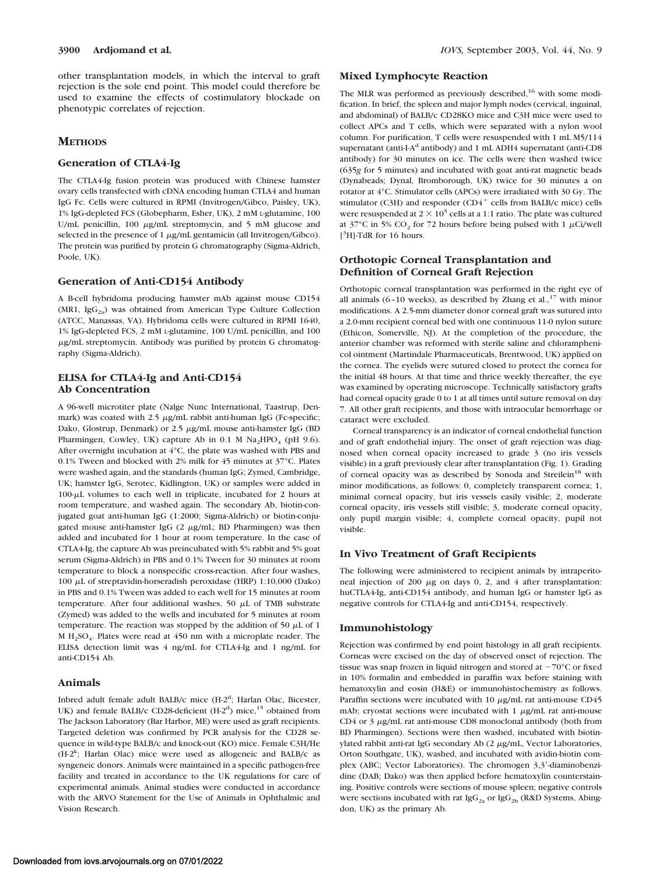other transplantation models, in which the interval to graft rejection is the sole end point. This model could therefore be used to examine the effects of costimulatory blockade on phenotypic correlates of rejection.

# **METHODS**

# **Generation of CTLA4-Ig**

The CTLA4-Ig fusion protein was produced with Chinese hamster ovary cells transfected with cDNA encoding human CTLA4 and human IgG Fc. Cells were cultured in RPMI (Invitrogen/Gibco, Paisley, UK), 1% IgG-depleted FCS (Globepharm, Esher, UK), 2 mM L-glutamine, 100 U/mL penicillin,  $100 \mu g/mL$  streptomycin, and  $5 \mu M$  glucose and selected in the presence of  $1 \mu g/mL$  gentamicin (all Invitrogen/Gibco). The protein was purified by protein G chromatography (Sigma-Aldrich, Poole, UK).

#### **Generation of Anti-CD154 Antibody**

A B-cell hybridoma producing hamster mAb against mouse CD154 (MR1, Ig $G_{2a}$ ) was obtained from American Type Culture Collection (ATCC, Manassas, VA). Hybridoma cells were cultured in RPMI 1640, 1% IgG-depleted FCS, 2 mM L-glutamine, 100 U/mL penicillin, and 100 g/mL streptomycin. Antibody was purified by protein G chromatography (Sigma-Aldrich).

# **ELISA for CTLA4-Ig and Anti-CD154 Ab Concentration**

A 96-well microtiter plate (Nalge Nunc International, Taastrup, Denmark) was coated with  $2.5 \mu g/mL$  rabbit anti-human IgG (Fc-specific; Dako, Glostrup, Denmark) or  $2.5 \mu g/mL$  mouse anti-hamster IgG (BD Pharmingen, Cowley, UK) capture Ab in 0.1 M  $\text{Na}_2\text{HPO}_4$  (pH 9.6). After overnight incubation at 4°C, the plate was washed with PBS and 0.1% Tween and blocked with 2% milk for 45 minutes at 37°C. Plates were washed again, and the standards (human IgG; Zymed, Cambridge, UK; hamster IgG, Serotec, Kidlington, UK) or samples were added in  $100-\mu L$  volumes to each well in triplicate, incubated for 2 hours at room temperature, and washed again. The secondary Ab, biotin-conjugated goat anti-human IgG (1:2000; Sigma-Aldrich) or biotin-conjugated mouse anti-hamster IgG  $(2 \mu g/mL; BD Pharmingen)$  was then added and incubated for 1 hour at room temperature. In the case of CTLA4-Ig, the capture Ab was preincubated with 5% rabbit and 5% goat serum (Sigma-Aldrich) in PBS and 0.1% Tween for 30 minutes at room temperature to block a nonspecific cross-reaction. After four washes, 100  $\mu$ L of streptavidin-horseradish peroxidase (HRP) 1:10,000 (Dako) in PBS and 0.1% Tween was added to each well for 15 minutes at room temperature. After four additional washes, 50  $\mu$ L of TMB substrate (Zymed) was added to the wells and incubated for 5 minutes at room temperature. The reaction was stopped by the addition of 50  $\mu$ L of 1 M  $H_2SO_4$ . Plates were read at 450 nm with a microplate reader. The ELISA detection limit was 4 ng/mL for CTLA4-Ig and 1 ng/mL for anti-CD154 Ab.

#### **Animals**

Inbred adult female adult BALB/c mice (H-2<sup>d</sup>; Harlan Olac, Bicester, UK) and female BALB/c CD28-deficient  $(H-2<sup>d</sup>)$  mice,<sup>15</sup> obtained from The Jackson Laboratory (Bar Harbor, ME) were used as graft recipients. Targeted deletion was confirmed by PCR analysis for the CD28 sequence in wild-type BALB/c and knock-out (KO) mice. Female C3H/He (H-2<sup>k</sup>; Harlan Olac) mice were used as allogeneic and BALB/c as syngeneic donors. Animals were maintained in a specific pathogen-free facility and treated in accordance to the UK regulations for care of experimental animals. Animal studies were conducted in accordance with the ARVO Statement for the Use of Animals in Ophthalmic and Vision Research.

## **Mixed Lymphocyte Reaction**

The MLR was performed as previously described,<sup>16</sup> with some modification. In brief, the spleen and major lymph nodes (cervical, inguinal, and abdominal) of BALB/c CD28KO mice and C3H mice were used to collect APCs and T cells, which were separated with a nylon wool column. For purification, T cells were resuspended with 1 mL M5/114 supernatant (anti-I-A<sup>d</sup> antibody) and 1 mL ADH4 supernatant (anti-CD8 antibody) for 30 minutes on ice. The cells were then washed twice (635*g* for 5 minutes) and incubated with goat anti-rat magnetic beads (Dynabeads; Dynal, Bromborough, UK) twice for 30 minutes a on rotator at 4°C. Stimulator cells (APCs) were irradiated with 30 Gy. The stimulator (C3H) and responder (CD4 $^+$  cells from BALB/c mice) cells were resuspended at  $2 \times 10^5$  cells at a 1:1 ratio. The plate was cultured at 37°C in 5%  $CO_2$  for 72 hours before being pulsed with 1  $\mu$ Ci/well [ 3 H]-TdR for 16 hours.

# **Orthotopic Corneal Transplantation and Definition of Corneal Graft Rejection**

Orthotopic corneal transplantation was performed in the right eye of all animals (6-10 weeks), as described by Zhang et al.,  $^{17}$  with minor modifications. A 2.5-mm diameter donor corneal graft was sutured into a 2.0-mm recipient corneal bed with one continuous 11-0 nylon suture (Ethicon, Somerville, NJ). At the completion of the procedure, the anterior chamber was reformed with sterile saline and chloramphenicol ointment (Martindale Pharmaceuticals, Brentwood, UK) applied on the cornea. The eyelids were sutured closed to protect the cornea for the initial 48 hours. At that time and thrice weekly thereafter, the eye was examined by operating microscope. Technically satisfactory grafts had corneal opacity grade 0 to 1 at all times until suture removal on day 7. All other graft recipients, and those with intraocular hemorrhage or cataract were excluded.

Corneal transparency is an indicator of corneal endothelial function and of graft endothelial injury. The onset of graft rejection was diagnosed when corneal opacity increased to grade 3 (no iris vessels visible) in a graft previously clear after transplantation (Fig. 1). Grading of corneal opacity was as described by Sonoda and Streilein<sup>18</sup> with minor modifications, as follows: 0, completely transparent cornea; 1, minimal corneal opacity, but iris vessels easily visible; 2, moderate corneal opacity, iris vessels still visible; 3, moderate corneal opacity, only pupil margin visible; 4, complete corneal opacity, pupil not visible.

#### **In Vivo Treatment of Graft Recipients**

The following were administered to recipient animals by intraperitoneal injection of 200  $\mu$ g on days 0, 2, and 4 after transplantation: huCTLA4-Ig, anti-CD154 antibody, and human IgG or hamster IgG as negative controls for CTLA4-Ig and anti-CD154, respectively.

#### **Immunohistology**

Rejection was confirmed by end point histology in all graft recipients. Corneas were excised on the day of observed onset of rejection. The tissue was snap frozen in liquid nitrogen and stored at  $-70^{\circ}$ C or fixed in 10% formalin and embedded in paraffin wax before staining with hematoxylin and eosin (H&E) or immunohistochemistry as follows. Paraffin sections were incubated with 10  $\mu$ g/mL rat anti-mouse CD45 mAb; cryostat sections were incubated with  $1 \mu g/mL$  rat anti-mouse CD4 or  $3 \mu g/mL$  rat anti-mouse CD8 monoclonal antibody (both from BD Pharmingen). Sections were then washed, incubated with biotinylated rabbit anti-rat IgG secondary Ab (2 µg/mL, Vector Laboratories, Orton Southgate, UK), washed, and incubated with avidin-biotin complex (ABC; Vector Laboratories). The chromogen 3,3-diaminobenzidine (DAB; Dako) was then applied before hematoxylin counterstaining. Positive controls were sections of mouse spleen; negative controls were sections incubated with rat  $\text{IgG}_{2a}$  or  $\text{IgG}_{2b}$  (R&D Systems, Abingdon, UK) as the primary Ab.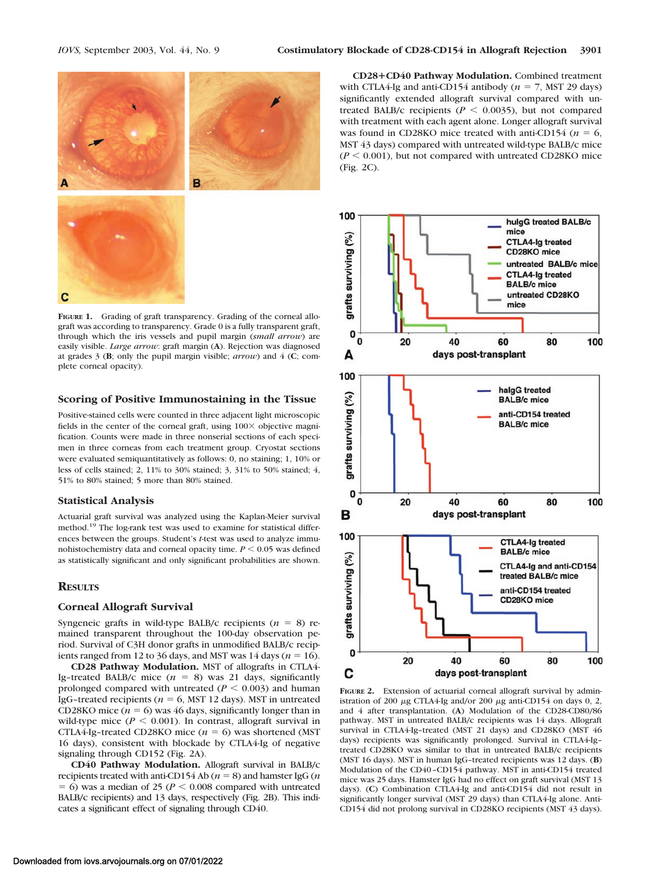

**FIGURE 1.** Grading of graft transparency. Grading of the corneal allograft was according to transparency. Grade 0 is a fully transparent graft, through which the iris vessels and pupil margin (*small arrow*) are easily visible. *Large arrow*: graft margin (**A**). Rejection was diagnosed at grades 3 (**B**; only the pupil margin visible; *arrow*) and 4 (**C**; complete corneal opacity).

#### **Scoring of Positive Immunostaining in the Tissue**

Positive-stained cells were counted in three adjacent light microscopic fields in the center of the corneal graft, using  $100 \times$  objective magnification. Counts were made in three nonserial sections of each specimen in three corneas from each treatment group. Cryostat sections were evaluated semiquantitatively as follows: 0, no staining; 1, 10% or less of cells stained; 2, 11% to 30% stained; 3, 31% to 50% stained; 4, 51% to 80% stained; 5 more than 80% stained.

#### **Statistical Analysis**

Actuarial graft survival was analyzed using the Kaplan-Meier survival method.19 The log-rank test was used to examine for statistical differences between the groups. Student's *t*-test was used to analyze immunohistochemistry data and corneal opacity time.  $P \leq 0.05$  was defined as statistically significant and only significant probabilities are shown.

# **RESULTS**

# **Corneal Allograft Survival**

Syngeneic grafts in wild-type BALB/c recipients  $(n = 8)$  remained transparent throughout the 100-day observation period. Survival of C3H donor grafts in unmodified BALB/c recipients ranged from 12 to 36 days, and MST was 14 days ( $n = 16$ ).

**CD28 Pathway Modulation.** MST of allografts in CTLA4- Ig-treated BALB/c mice  $(n = 8)$  was 21 days, significantly prolonged compared with untreated  $(P \le 0.003)$  and human IgG-treated recipients ( $n = 6$ , MST 12 days). MST in untreated CD28KO mice  $(n = 6)$  was 46 days, significantly longer than in wild-type mice ( $P \le 0.001$ ). In contrast, allograft survival in CTLA4-Ig-treated CD28KO mice  $(n = 6)$  was shortened (MST) 16 days), consistent with blockade by CTLA4-Ig of negative signaling through CD152 (Fig. 2A).

**CD40 Pathway Modulation.** Allograft survival in BALB/c recipients treated with anti-CD154 Ab  $(n = 8)$  and hamster IgG  $(n$  $= 6$ ) was a median of 25 ( $P < 0.008$  compared with untreated BALB/c recipients) and 13 days, respectively (Fig. 2B). This indicates a significant effect of signaling through CD40.

**CD28CD40 Pathway Modulation.** Combined treatment with CTLA4-Ig and anti-CD154 antibody  $(n = 7, \text{ MST } 29 \text{ days})$ significantly extended allograft survival compared with untreated BALB/c recipients ( $P \le 0.0035$ ), but not compared with treatment with each agent alone. Longer allograft survival was found in CD28KO mice treated with anti-CD154 ( $n = 6$ , MST 43 days) compared with untreated wild-type BALB/c mice  $(P < 0.001)$ , but not compared with untreated CD28KO mice (Fig. 2C).



**FIGURE 2.** Extension of actuarial corneal allograft survival by administration of 200  $\mu$ g CTLA4-Ig and/or 200  $\mu$ g anti-CD154 on days 0, 2, and 4 after transplantation. (**A**) Modulation of the CD28-CD80/86 pathway. MST in untreated BALB/c recipients was 14 days. Allograft survival in CTLA4-Ig–treated (MST 21 days) and CD28KO (MST 46 days) recipients was significantly prolonged. Survival in CTLA4-Ig– treated CD28KO was similar to that in untreated BALB/c recipients (MST 16 days). MST in human IgG–treated recipients was 12 days. (**B**) Modulation of the CD40–CD154 pathway. MST in anti-CD154 treated mice was 25 days. Hamster IgG had no effect on graft survival (MST 13 days). (**C**) Combination CTLA4-Ig and anti-CD154 did not result in significantly longer survival (MST 29 days) than CTLA4-Ig alone. Anti-CD154 did not prolong survival in CD28KO recipients (MST 43 days).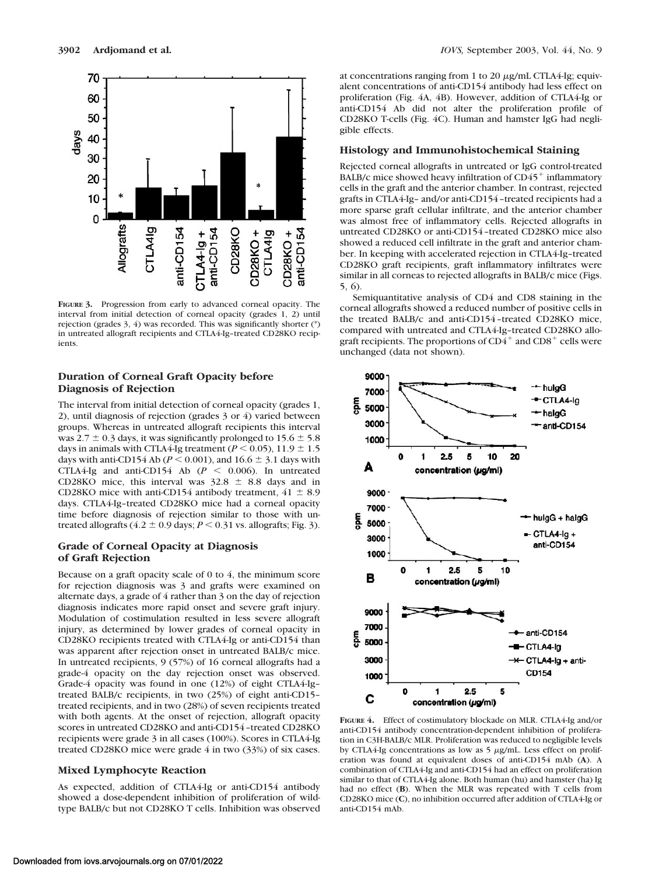

**FIGURE 3.** Progression from early to advanced corneal opacity. The interval from initial detection of corneal opacity (grades 1, 2) until rejection (grades 3, 4) was recorded. This was significantly shorter (\*) in untreated allograft recipients and CTLA4-Ig–treated CD28KO recipients.

# **Duration of Corneal Graft Opacity before Diagnosis of Rejection**

The interval from initial detection of corneal opacity (grades 1, 2), until diagnosis of rejection (grades 3 or 4) varied between groups. Whereas in untreated allograft recipients this interval was 2.7  $\pm$  0.3 days, it was significantly prolonged to 15.6  $\pm$  5.8 days in animals with CTLA4-Ig treatment ( $P < 0.05$ ),  $11.9 \pm 1.5$ days with anti-CD154 Ab ( $P < 0.001$ ), and 16.6  $\pm$  3.1 days with CTLA4-Ig and anti-CD154 Ab  $(P < 0.006)$ . In untreated CD28KO mice, this interval was  $32.8 \pm 8.8$  days and in CD28KO mice with anti-CD154 antibody treatment,  $41 \pm 8.9$ days. CTLA4-Ig–treated CD28KO mice had a corneal opacity time before diagnosis of rejection similar to those with untreated allografts (4.2  $\pm$  0.9 days; *P* < 0.31 vs. allografts; Fig. 3).

# **Grade of Corneal Opacity at Diagnosis of Graft Rejection**

Because on a graft opacity scale of 0 to 4, the minimum score for rejection diagnosis was 3 and grafts were examined on alternate days, a grade of 4 rather than 3 on the day of rejection diagnosis indicates more rapid onset and severe graft injury. Modulation of costimulation resulted in less severe allograft injury, as determined by lower grades of corneal opacity in CD28KO recipients treated with CTLA4-Ig or anti-CD154 than was apparent after rejection onset in untreated BALB/c mice. In untreated recipients, 9 (57%) of 16 corneal allografts had a grade-4 opacity on the day rejection onset was observed. Grade-4 opacity was found in one (12%) of eight CTLA4-Ig– treated BALB/c recipients, in two (25%) of eight anti-CD15– treated recipients, and in two (28%) of seven recipients treated with both agents. At the onset of rejection, allograft opacity scores in untreated CD28KO and anti-CD154–treated CD28KO recipients were grade 3 in all cases (100%). Scores in CTLA4-Ig treated CD28KO mice were grade 4 in two (33%) of six cases.

## **Mixed Lymphocyte Reaction**

As expected, addition of CTLA4-Ig or anti-CD154 antibody showed a dose-dependent inhibition of proliferation of wildtype BALB/c but not CD28KO T cells. Inhibition was observed at concentrations ranging from 1 to 20  $\mu$ g/mL CTLA4-Ig; equivalent concentrations of anti-CD154 antibody had less effect on proliferation (Fig. 4A, 4B). However, addition of CTLA4-Ig or anti-CD154 Ab did not alter the proliferation profile of CD28KO T-cells (Fig. 4C). Human and hamster IgG had negligible effects.

#### **Histology and Immunohistochemical Staining**

Rejected corneal allografts in untreated or IgG control-treated BALB/c mice showed heavy infiltration of  $CD45<sup>+</sup>$  inflammatory cells in the graft and the anterior chamber. In contrast, rejected grafts in CTLA4-Ig– and/or anti-CD154–treated recipients had a more sparse graft cellular infiltrate, and the anterior chamber was almost free of inflammatory cells. Rejected allografts in untreated CD28KO or anti-CD154–treated CD28KO mice also showed a reduced cell infiltrate in the graft and anterior chamber. In keeping with accelerated rejection in CTLA4-Ig–treated CD28KO graft recipients, graft inflammatory infiltrates were similar in all corneas to rejected allografts in BALB/c mice (Figs. 5, 6).

Semiquantitative analysis of CD4 and CD8 staining in the corneal allografts showed a reduced number of positive cells in the treated BALB/c and anti-CD154–treated CD28KO mice, compared with untreated and CTLA4-Ig–treated CD28KO allograft recipients. The proportions of  $CD4^+$  and  $CD8^+$  cells were unchanged (data not shown).



**FIGURE 4.** Effect of costimulatory blockade on MLR. CTLA4-Ig and/or anti-CD154 antibody concentration-dependent inhibition of proliferation in C3H-BALB/c MLR. Proliferation was reduced to negligible levels by CTLA4-Ig concentrations as low as  $5 \mu g/mL$ . Less effect on proliferation was found at equivalent doses of anti-CD154 mAb (**A**). A combination of CTLA4-Ig and anti-CD154 had an effect on proliferation similar to that of CTLA4-Ig alone. Both human (hu) and hamster (ha) Ig had no effect (**B**). When the MLR was repeated with T cells from CD28KO mice (**C**), no inhibition occurred after addition of CTLA4-Ig or anti-CD154 mAb.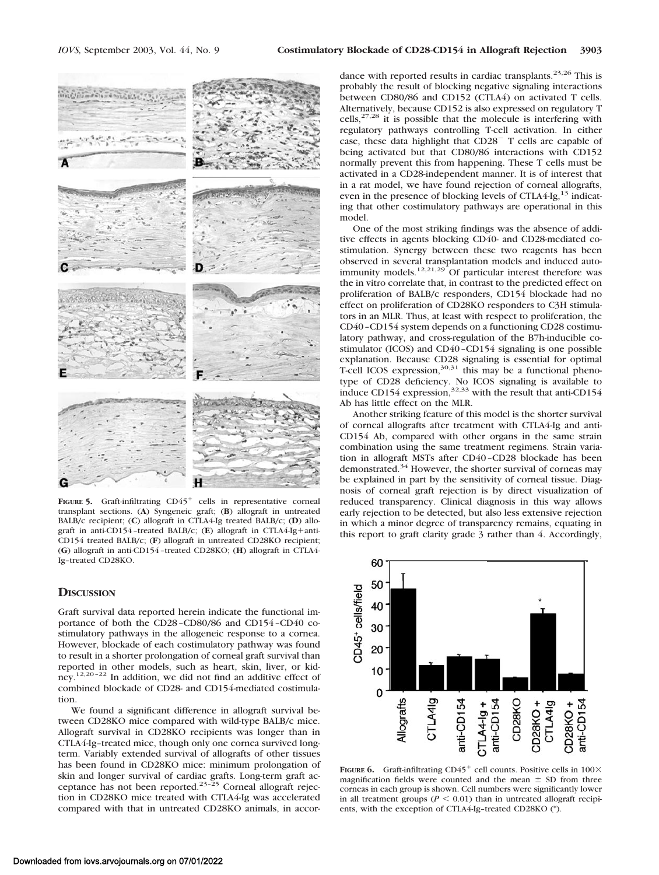

FIGURE 5. Graft-infiltrating CD45<sup>+</sup> cells in representative corneal transplant sections. (**A**) Syngeneic graft; (**B**) allograft in untreated BALB/c recipient; (**C**) allograft in CTLA4-Ig treated BALB/c; (**D**) allograft in anti-CD154-treated BALB/c; (E) allograft in CTLA4-Ig+anti-CD154 treated BALB/c; (**F**) allograft in untreated CD28KO recipient; (**G**) allograft in anti-CD154–treated CD28KO; (**H**) allograft in CTLA4- Ig–treated CD28KO.

### **DISCUSSION**

Graft survival data reported herein indicate the functional importance of both the CD28–CD80/86 and CD154–CD40 costimulatory pathways in the allogeneic response to a cornea. However, blockade of each costimulatory pathway was found to result in a shorter prolongation of corneal graft survival than reported in other models, such as heart, skin, liver, or kidney.12,20–22 In addition, we did not find an additive effect of combined blockade of CD28- and CD154-mediated costimulation.

We found a significant difference in allograft survival between CD28KO mice compared with wild-type BALB/c mice. Allograft survival in CD28KO recipients was longer than in CTLA4-Ig–treated mice, though only one cornea survived longterm. Variably extended survival of allografts of other tissues has been found in CD28KO mice: minimum prolongation of skin and longer survival of cardiac grafts. Long-term graft acceptance has not been reported.<sup>23-25</sup> Corneal allograft rejection in CD28KO mice treated with CTLA4-Ig was accelerated compared with that in untreated CD28KO animals, in accor-

dance with reported results in cardiac transplants.<sup>23,26</sup> This is probably the result of blocking negative signaling interactions between CD80/86 and CD152 (CTLA4) on activated T cells. Alternatively, because CD152 is also expressed on regulatory T  $cells, <sup>27,28</sup>$  it is possible that the molecule is interfering with regulatory pathways controlling T-cell activation. In either case, these data highlight that CD28<sup>-</sup> T cells are capable of being activated but that CD80/86 interactions with CD152 normally prevent this from happening. These T cells must be activated in a CD28-independent manner. It is of interest that in a rat model, we have found rejection of corneal allografts, even in the presence of blocking levels of CTLA4-Ig,<sup>13</sup> indicating that other costimulatory pathways are operational in this model.

One of the most striking findings was the absence of additive effects in agents blocking CD40- and CD28-mediated costimulation. Synergy between these two reagents has been observed in several transplantation models and induced autoimmunity models.<sup>12,21,29</sup> Of particular interest therefore was the in vitro correlate that, in contrast to the predicted effect on proliferation of BALB/c responders, CD154 blockade had no effect on proliferation of CD28KO responders to C3H stimulators in an MLR. Thus, at least with respect to proliferation, the CD40–CD154 system depends on a functioning CD28 costimulatory pathway, and cross-regulation of the B7h-inducible costimulator (ICOS) and CD40–CD154 signaling is one possible explanation. Because CD28 signaling is essential for optimal T-cell ICOS expression,  $30,31$  this may be a functional phenotype of CD28 deficiency. No ICOS signaling is available to induce CD154 expression,  $32,33$  with the result that anti-CD154 Ab has little effect on the MLR.

Another striking feature of this model is the shorter survival of corneal allografts after treatment with CTLA4-Ig and anti-CD154 Ab, compared with other organs in the same strain combination using the same treatment regimens. Strain variation in allograft MSTs after CD40–CD28 blockade has been demonstrated.<sup>34</sup> However, the shorter survival of corneas may be explained in part by the sensitivity of corneal tissue. Diagnosis of corneal graft rejection is by direct visualization of reduced transparency. Clinical diagnosis in this way allows early rejection to be detected, but also less extensive rejection in which a minor degree of transparency remains, equating in this report to graft clarity grade 3 rather than 4. Accordingly,



**FIGURE 6.** Graft-infiltrating  $CD45^+$  cell counts. Positive cells in  $100\times$ magnification fields were counted and the mean  $\pm$  SD from three corneas in each group is shown. Cell numbers were significantly lower in all treatment groups ( $P < 0.01$ ) than in untreated allograft recipients, with the exception of CTLA4-Ig–treated CD28KO (\*).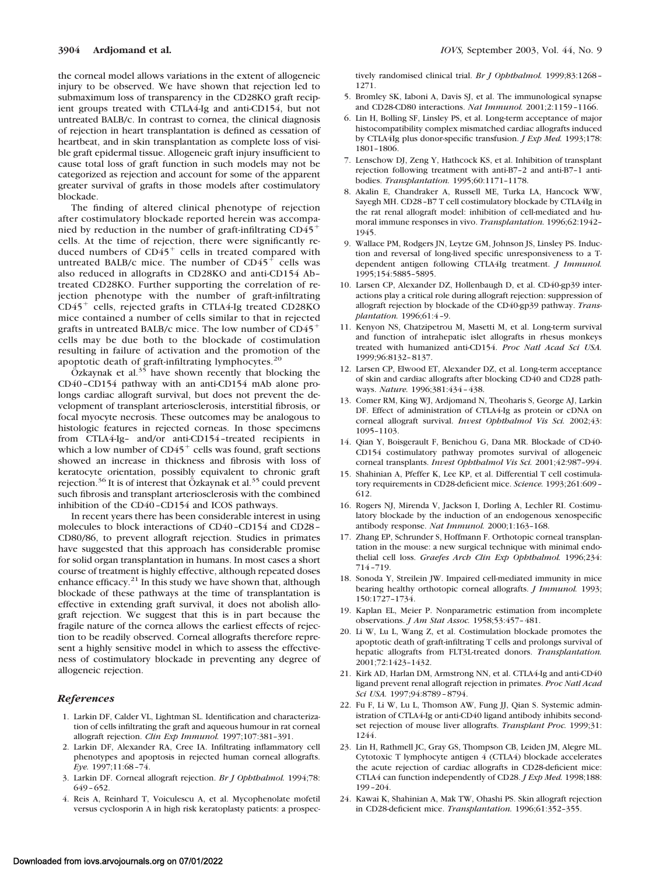the corneal model allows variations in the extent of allogeneic injury to be observed. We have shown that rejection led to submaximum loss of transparency in the CD28KO graft recipient groups treated with CTLA4-Ig and anti-CD154, but not untreated BALB/c. In contrast to cornea, the clinical diagnosis of rejection in heart transplantation is defined as cessation of heartbeat, and in skin transplantation as complete loss of visible graft epidermal tissue. Allogeneic graft injury insufficient to cause total loss of graft function in such models may not be categorized as rejection and account for some of the apparent greater survival of grafts in those models after costimulatory blockade.

The finding of altered clinical phenotype of rejection after costimulatory blockade reported herein was accompanied by reduction in the number of graft-infiltrating CD45 cells. At the time of rejection, there were significantly reduced numbers of  $CD45<sup>+</sup>$  cells in treated compared with untreated BALB/c mice. The number of  $CD45<sup>+</sup>$  cells was also reduced in allografts in CD28KO and anti-CD154 Ab– treated CD28KO. Further supporting the correlation of rejection phenotype with the number of graft-infiltrating  $CD45<sup>+</sup>$  cells, rejected grafts in CTLA4-Ig treated CD28KO mice contained a number of cells similar to that in rejected grafts in untreated BALB/c mice. The low number of  $CD45<sup>+</sup>$ cells may be due both to the blockade of costimulation resulting in failure of activation and the promotion of the apoptotic death of graft-infiltrating lymphocytes.<sup>20</sup>

 $\ddot{O}$ zkaynak et al.<sup>35</sup> have shown recently that blocking the CD40–CD154 pathway with an anti-CD154 mAb alone prolongs cardiac allograft survival, but does not prevent the development of transplant arteriosclerosis, interstitial fibrosis, or focal myocyte necrosis. These outcomes may be analogous to histologic features in rejected corneas. In those specimens from CTLA4-Ig– and/or anti-CD154–treated recipients in which a low number of  $CD45<sup>+</sup>$  cells was found, graft sections showed an increase in thickness and fibrosis with loss of keratocyte orientation, possibly equivalent to chronic graft rejection.<sup>36</sup> It is of interest that  $\ddot{O}$  zkaynak et al.<sup>35</sup> could prevent such fibrosis and transplant arteriosclerosis with the combined inhibition of the CD40–CD154 and ICOS pathways.

In recent years there has been considerable interest in using molecules to block interactions of CD40–CD154 and CD28– CD80/86, to prevent allograft rejection. Studies in primates have suggested that this approach has considerable promise for solid organ transplantation in humans. In most cases a short course of treatment is highly effective, although repeated doses enhance efficacy. $2<sup>1</sup>$  In this study we have shown that, although blockade of these pathways at the time of transplantation is effective in extending graft survival, it does not abolish allograft rejection. We suggest that this is in part because the fragile nature of the cornea allows the earliest effects of rejection to be readily observed. Corneal allografts therefore represent a highly sensitive model in which to assess the effectiveness of costimulatory blockade in preventing any degree of allogeneic rejection.

#### *References*

- 1. Larkin DF, Calder VL, Lightman SL. Identification and characterization of cells infiltrating the graft and aqueous humour in rat corneal allograft rejection. *Clin Exp Immunol.* 1997;107:381–391.
- 2. Larkin DF, Alexander RA, Cree IA. Infiltrating inflammatory cell phenotypes and apoptosis in rejected human corneal allografts. *Eye.* 1997;11:68–74.
- 3. Larkin DF. Corneal allograft rejection. *Br J Ophthalmol.* 1994;78: 649–652.
- 4. Reis A, Reinhard T, Voiculescu A, et al. Mycophenolate mofetil versus cyclosporin A in high risk keratoplasty patients: a prospec-

tively randomised clinical trial. *Br J Ophthalmol.* 1999;83:1268– 1271.

- 5. Bromley SK, Iaboni A, Davis SJ, et al. The immunological synapse and CD28-CD80 interactions. *Nat Immunol.* 2001;2:1159–1166.
- 6. Lin H, Bolling SF, Linsley PS, et al. Long-term acceptance of major histocompatibility complex mismatched cardiac allografts induced by CTLA4Ig plus donor-specific transfusion. *J Exp Med.* 1993;178: 1801–1806.
- 7. Lenschow DJ, Zeng Y, Hathcock KS, et al. Inhibition of transplant rejection following treatment with anti-B7–2 and anti-B7–1 antibodies. *Transplantation.* 1995;60:1171–1178.
- 8. Akalin E, Chandraker A, Russell ME, Turka LA, Hancock WW, Sayegh MH. CD28–B7 T cell costimulatory blockade by CTLA4Ig in the rat renal allograft model: inhibition of cell-mediated and humoral immune responses in vivo. *Transplantation.* 1996;62:1942– 1945.
- 9. Wallace PM, Rodgers JN, Leytze GM, Johnson JS, Linsley PS. Induction and reversal of long-lived specific unresponsiveness to a Tdependent antigen following CTLA4Ig treatment. *J Immunol.* 1995;154:5885–5895.
- 10. Larsen CP, Alexander DZ, Hollenbaugh D, et al. CD40-gp39 interactions play a critical role during allograft rejection: suppression of allograft rejection by blockade of the CD40-gp39 pathway. *Transplantation.* 1996;61:4–9.
- 11. Kenyon NS, Chatzipetrou M, Masetti M, et al. Long-term survival and function of intrahepatic islet allografts in rhesus monkeys treated with humanized anti-CD154. *Proc Natl Acad Sci USA.* 1999;96:8132–8137.
- 12. Larsen CP, Elwood ET, Alexander DZ, et al. Long-term acceptance of skin and cardiac allografts after blocking CD40 and CD28 pathways. *Nature.* 1996;381:434–438.
- 13. Comer RM, King WJ, Ardjomand N, Theoharis S, George AJ, Larkin DF. Effect of administration of CTLA4-Ig as protein or cDNA on corneal allograft survival. *Invest Ophthalmol Vis Sci.* 2002;43: 1095–1103.
- 14. Qian Y, Boisgerault F, Benichou G, Dana MR. Blockade of CD40- CD154 costimulatory pathway promotes survival of allogeneic corneal transplants. *Invest Ophthalmol Vis Sci.* 2001;42:987–994.
- 15. Shahinian A, Pfeffer K, Lee KP, et al. Differential T cell costimulatory requirements in CD28-deficient mice. *Science.* 1993;261:609– 612.
- 16. Rogers NJ, Mirenda V, Jackson I, Dorling A, Lechler RI. Costimulatory blockade by the induction of an endogenous xenospecific antibody response. *Nat Immunol.* 2000;1:163–168.
- 17. Zhang EP, Schrunder S, Hoffmann F. Orthotopic corneal transplantation in the mouse: a new surgical technique with minimal endothelial cell loss. *Graefes Arch Clin Exp Ophthalmol.* 1996;234: 714–719.
- 18. Sonoda Y, Streilein JW. Impaired cell-mediated immunity in mice bearing healthy orthotopic corneal allografts. *J Immunol.* 1993; 150:1727–1734.
- 19. Kaplan EL, Meier P. Nonparametric estimation from incomplete observations. *J Am Stat Assoc.* 1958;53:457–481.
- 20. Li W, Lu L, Wang Z, et al. Costimulation blockade promotes the apoptotic death of graft-infiltrating T cells and prolongs survival of hepatic allografts from FLT3L-treated donors. *Transplantation.* 2001;72:1423–1432.
- 21. Kirk AD, Harlan DM, Armstrong NN, et al. CTLA4-Ig and anti-CD40 ligand prevent renal allograft rejection in primates. *Proc Natl Acad Sci USA.* 1997;94:8789–8794.
- 22. Fu F, Li W, Lu L, Thomson AW, Fung JJ, Qian S. Systemic administration of CTLA4-Ig or anti-CD40 ligand antibody inhibits secondset rejection of mouse liver allografts. *Transplant Proc.* 1999;31: 1244.
- 23. Lin H, Rathmell JC, Gray GS, Thompson CB, Leiden JM, Alegre ML. Cytotoxic T lymphocyte antigen 4 (CTLA4) blockade accelerates the acute rejection of cardiac allografts in CD28-deficient mice: CTLA4 can function independently of CD28. *J Exp Med.* 1998;188: 199–204.
- 24. Kawai K, Shahinian A, Mak TW, Ohashi PS. Skin allograft rejection in CD28-deficient mice. *Transplantation.* 1996;61:352–355.